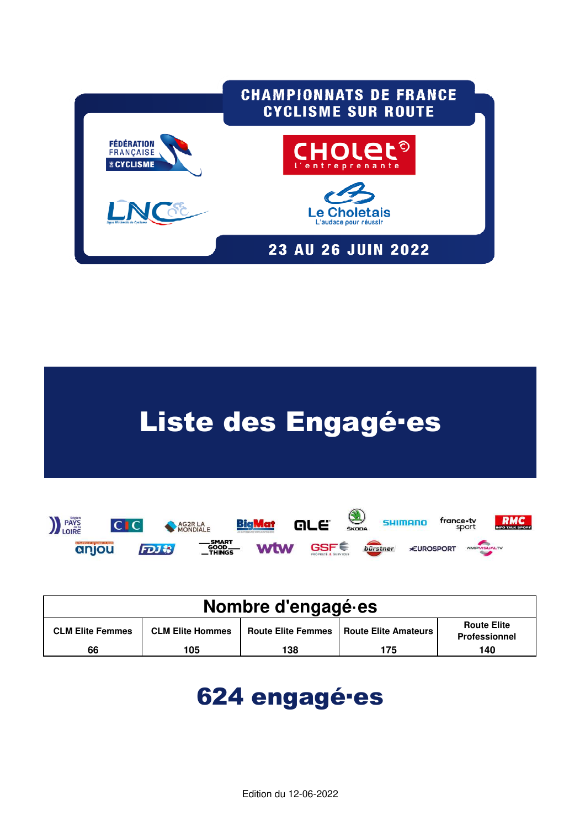



| Nombre d'engagé es      |                         |                           |                        |                                            |  |  |  |  |  |  |
|-------------------------|-------------------------|---------------------------|------------------------|--------------------------------------------|--|--|--|--|--|--|
| <b>CLM Elite Femmes</b> | <b>CLM Elite Hommes</b> | <b>Route Elite Femmes</b> | Route Elite Amateurs I | <b>Route Elite</b><br><b>Professionnel</b> |  |  |  |  |  |  |
| 66                      | 105                     | 138                       | 175                    | 140                                        |  |  |  |  |  |  |

# 624 engagé·es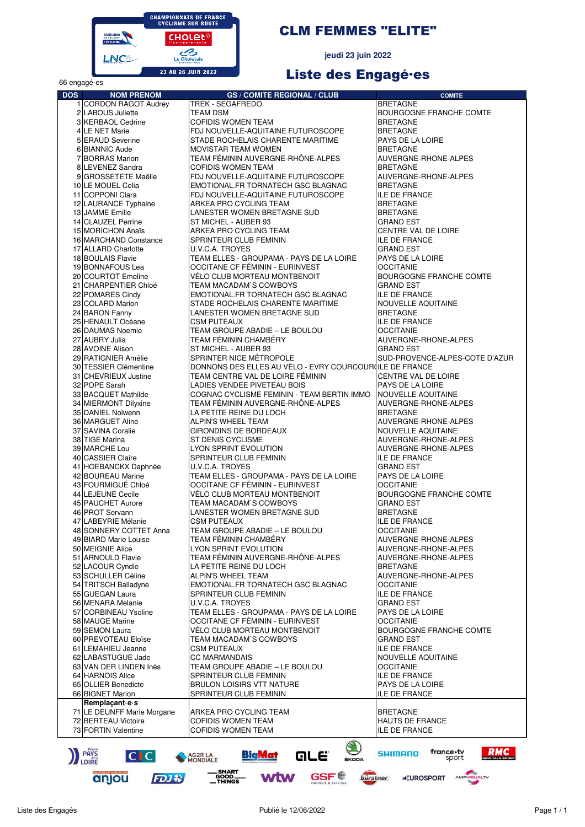

# **CLM FEMMES "ELITE"**

jeudi 23 juin 2022

# Liste des Engagé-es

| oo engage es<br><b>DOS</b> | <b>NOM PRENOM</b>                                 | <b>GS / COMITE REGIONAL / CLUB</b>                                          | <b>COMITE</b>                               |
|----------------------------|---------------------------------------------------|-----------------------------------------------------------------------------|---------------------------------------------|
|                            | 1 CORDON RAGOT Audrey                             | TREK - SEGAFREDO                                                            | <b>BRETAGNE</b>                             |
|                            | 2 LABOUS Juliette                                 | TEAM DSM                                                                    | <b>BOURGOGNE FRANCHE COMTE</b>              |
|                            | 3 KERBAOL Cedrine                                 | <b>COFIDIS WOMEN TEAM</b>                                                   | <b>BRETAGNE</b>                             |
|                            | 4 LE NET Marie                                    | FDJ NOUVELLE-AQUITAINE FUTUROSCOPE                                          | <b>BRETAGNE</b>                             |
|                            | 5 ERAUD Severine                                  | STADE ROCHELAIS CHARENTE MARITIME                                           | PAYS DE LA LOIRE                            |
|                            | 6 BIANNIC Aude                                    | <b>MOVISTAR TEAM WOMEN</b>                                                  | <b>BRETAGNE</b>                             |
|                            | 7 BORRAS Marion<br>8 LEVENEZ Sandra               | TEAM FÉMININ AUVERGNE-RHÔNE-ALPES<br><b>COFIDIS WOMEN TEAM</b>              | AUVERGNE-RHONE-ALPES<br><b>BRETAGNE</b>     |
|                            | 9 GROSSETETE Maëlle                               | FDJ NOUVELLE-AQUITAINE FUTUROSCOPE                                          | AUVERGNE-RHONE-ALPES                        |
|                            | 10 LE MOUEL Celia                                 | EMOTIONAL.FR TORNATECH GSC BLAGNAC                                          | <b>BRETAGNE</b>                             |
|                            | 11 COPPONI Clara                                  | FDJ NOUVELLE-AQUITAINE FUTUROSCOPE                                          | <b>ILE DE FRANCE</b>                        |
|                            | 12 LAURANCE Typhaine                              | ARKEA PRO CYCLING TEAM                                                      | <b>BRETAGNE</b>                             |
|                            | 13 JAMME Emilie                                   | LANESTER WOMEN BRETAGNE SUD                                                 | <b>BRETAGNE</b>                             |
|                            | 14 CLAUZEL Perrine                                | ST MICHEL - AUBER 93                                                        | <b>GRAND EST</b>                            |
|                            | 15 MORICHON Anaïs                                 | ARKEA PRO CYCLING TEAM                                                      | <b>CENTRE VAL DE LOIRE</b>                  |
|                            | 16 MARCHAND Constance<br>17 ALLARD Charlotte      | SPRINTEUR CLUB FEMININ<br>U.V.C.A. TROYES                                   | <b>ILE DE FRANCE</b><br>GRAND EST           |
|                            | 18 BOULAIS Flavie                                 | TEAM ELLES - GROUPAMA - PAYS DE LA LOIRE                                    | PAYS DE LA LOIRE                            |
|                            | 19 BONNAFOUS Lea                                  | OCCITANE CF FÉMININ - EURINVEST                                             | <b>OCCITANIE</b>                            |
|                            | 20 COURTOT Emeline                                | VÉLO CLUB MORTEAU MONTBENOIT                                                | BOURGOGNE FRANCHE COMTE                     |
|                            | 21 CHARPENTIER Chloé                              | TEAM MACADAM'S COWBOYS                                                      | <b>GRAND EST</b>                            |
|                            | 22 POMARES Cindy                                  | EMOTIONAL.FR TORNATECH GSC BLAGNAC                                          | <b>ILE DE FRANCE</b>                        |
|                            | 23 COLARD Marion                                  | STADE ROCHELAIS CHARENTE MARITIME                                           | NOUVELLE AQUITAINE                          |
|                            | 24 BARON Fanny                                    | LANESTER WOMEN BRETAGNE SUD                                                 | <b>BRETAGNE</b>                             |
|                            | 25 HENAULT Océane<br>26 DAUMAS Noemie             | <b>CSM PUTEAUX</b><br>TEAM GROUPE ABADIE - LE BOULOU                        | <b>ILE DE FRANCE</b><br><b>OCCITANIE</b>    |
|                            | 27 AUBRY Julia                                    | TEAM FÉMININ CHAMBÉRY                                                       | AUVERGNE-RHONE-ALPES                        |
|                            | 28 AVOINE Alison                                  | ST MICHEL - AUBER 93                                                        | <b>GRAND EST</b>                            |
|                            | 29 RATIGNIER Amélie                               | SPRINTER NICE MÉTROPOLE                                                     | SUD-PROVENCE-ALPES-COTE D'AZUR              |
|                            | 30 TESSIER Clémentine                             | DONNONS DES ELLES AU VÉLO - EVRY COURCOURILE DE FRANCE                      |                                             |
|                            | 31 CHEVRIEUX Justine                              | TEAM CENTRE VAL DE LOIRE FÉMININ                                            | CENTRE VAL DE LOIRE                         |
|                            | 32 POPE Sarah                                     | LADIES VENDEE PIVETEAU BOIS                                                 | PAYS DE LA LOIRE                            |
|                            | 33 BACQUET Mathilde                               | COGNAC CYCLISME FEMININ - TEAM BERTIN IMMO                                  | NOUVELLE AQUITAINE                          |
|                            | 34 MIERMONT Dilyxine<br>35 DANIEL Nolwenn         | TEAM FÉMININ AUVERGNE-RHÔNE-ALPES<br>LA PETITE REINE DU LOCH                | AUVERGNE-RHONE-ALPES<br><b>BRETAGNE</b>     |
|                            | 36 MARGUET Aline                                  | ALPIN'S WHEEL TEAM                                                          | AUVERGNE-RHONE-ALPES                        |
|                            | 37 SAVINA Coralie                                 | GIRONDINS DE BORDEAUX                                                       | NOUVELLE AQUITAINE                          |
|                            | 38 TIGE Marina                                    | ST DENIS CYCLISME                                                           | AUVERGNE-RHONE-ALPES                        |
|                            | 39 MARCHE Lou                                     | LYON SPRINT EVOLUTION                                                       | AUVERGNE-RHONE-ALPES                        |
|                            | 40 CASSIER Claire                                 | SPRINTEUR CLUB FEMININ                                                      | <b>ILE DE FRANCE</b>                        |
|                            | 41 HOEBANCKX Daphnée                              | U.V.C.A. TROYES                                                             | <b>GRAND EST</b>                            |
|                            | 42 BOUREAU Marine<br>43 FOURMIGUÉ Chloé           | TEAM ELLES - GROUPAMA - PAYS DE LA LOIRE<br>OCCITANE CF FÉMININ - EURINVEST | PAYS DE LA LOIRE<br><b>OCCITANIE</b>        |
|                            | 44 LEJEUNE Cecile                                 | VÉLO CLUB MORTEAU MONTBENOIT                                                | BOURGOGNE FRANCHE COMTE                     |
|                            | 45 PAUCHET Aurore                                 | TEAM MACADAM'S COWBOYS                                                      | <b>GRAND EST</b>                            |
|                            | 46 PROT Servann                                   | LANESTER WOMEN BRETAGNE SUD                                                 | <b>BRETAGNE</b>                             |
|                            | 47 LABEYRIE Mélanie                               | <b>CSM PUTEAUX</b>                                                          | <b>ILE DE FRANCE</b>                        |
|                            | 48 SONNERY COTTET Anna                            | TEAM GROUPE ABADIE - LE BOULOU                                              | <b>OCCITANIE</b>                            |
|                            | 49 BIARD Marie Louise                             | TEAM FÉMININ CHAMBÉRY                                                       | AUVERGNE-RHONE-ALPES                        |
|                            | 50 MEIGNIE Alice<br>51 ARNOULD Flavie             | <b>LYON SPRINT EVOLUTION</b>                                                | AUVERGNE-RHONE-ALPES                        |
|                            | 52 LACOUR Cyndie                                  | TEAM FÉMININ AUVERGNE-RHÔNE-ALPES<br>LA PETITE REINE DU LOCH                | AUVERGNE-RHONE-ALPES<br><b>BRETAGNE</b>     |
|                            | 53 SCHULLER Céline                                | ALPIN'S WHEEL TEAM                                                          | AUVERGNE-RHONE-ALPES                        |
|                            | 54 TRITSCH Balladyne                              | EMOTIONAL.FR TORNATECH GSC BLAGNAC                                          | OCCITANIE                                   |
|                            | 55 GUEGAN Laura                                   | SPRINTEUR CLUB FEMININ                                                      | <b>ILE DE FRANCE</b>                        |
|                            | 56 MENARA Melanie                                 | U.V.C.A. TROYES                                                             | <b>GRAND EST</b>                            |
|                            | 57 CORBINEAU Ysoline                              | TEAM ELLES - GROUPAMA - PAYS DE LA LOIRE                                    | PAYS DE LA LOIRE                            |
|                            | 58 MAUGE Marine                                   | OCCITANE CF FÉMININ - EURINVEST                                             | <b>OCCITANIE</b>                            |
|                            | 59 SEMON Laura<br>60 PREVOTEAU Eloïse             | VÉLO CLUB MORTEAU MONTBENOIT<br>TEAM MACADAM'S COWBOYS                      | BOURGOGNE FRANCHE COMTE<br><b>GRAND EST</b> |
|                            | 61 LEMAHIEU Jeanne                                | <b>CSM PUTEAUX</b>                                                          | <b>ILE DE FRANCE</b>                        |
|                            | 62 LABASTUGUE Jade                                | <b>CC MARMANDAIS</b>                                                        | NOUVELLE AQUITAINE                          |
|                            | 63 VAN DER LINDEN Inès                            | TEAM GROUPE ABADIE – LE BOULOU                                              | <b>OCCITANIE</b>                            |
|                            | 64 HARNOIS Alice                                  | SPRINTEUR CLUB FEMININ                                                      | <b>ILE DE FRANCE</b>                        |
|                            | 65 OLLIER Benedicte                               | <b>BRULON LOISIRS VTT NATURE</b>                                            | PAYS DE LA LOIRE                            |
|                            | 66 BIGNET Marion                                  | SPRINTEUR CLUB FEMININ                                                      | ILE DE FRANCE                               |
|                            | Remplaçant e s                                    |                                                                             |                                             |
|                            | 71 LE DEUNFF Marie Morgane<br>72 BERTEAU Victoire | ARKEA PRO CYCLING TEAM<br><b>COFIDIS WOMEN TEAM</b>                         | <b>BRETAGNE</b><br><b>HAUTS DE FRANCE</b>   |
|                            | 73 FORTIN Valentine                               | <b>COFIDIS WOMEN TEAM</b>                                                   | <b>ILE DE FRANCE</b>                        |
|                            |                                                   |                                                                             |                                             |
|                            | PAYS<br>LOIRE<br> C C                             | S.<br><u>Big Mat</u><br>are<br>AG2R LA<br>MONDIALE<br><b>ŠKODA</b>          | france•tv<br>sport<br>RMC<br>SHIMANO        |

anjou

**FDJお** 

**Wtw** 

GSF<sup>C</sup>

**burstner \*EUROSPORT** AMPYSUALTY

-SMART<br>GOOD<br>-THINGS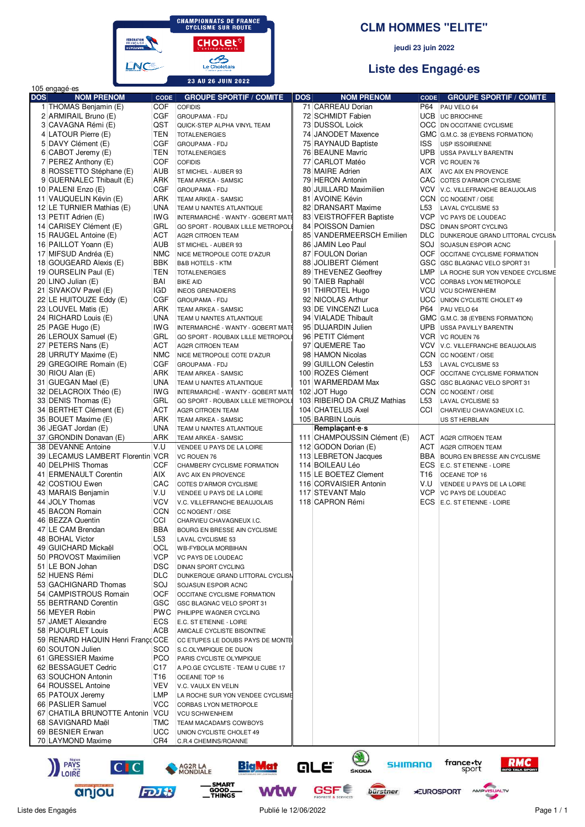

#### **CLM HOMMES "ELITE"**

jeudi 23 juin 2022

# Liste des Engagé es

| <b>DOS</b> | 105 engagé es<br><b>NOM PRENOM</b>                   |                    | <b>GROUPE SPORTIF / COMITE</b>                                | <b>DOS</b> | <b>NOM PRENOM</b>                             |                 | <b>GROUPE SPORTIF / COMITE</b>                                       |
|------------|------------------------------------------------------|--------------------|---------------------------------------------------------------|------------|-----------------------------------------------|-----------------|----------------------------------------------------------------------|
|            | 1 THOMAS Benjamin (E)                                | <b>CODE</b><br>COF | <b>COFIDIS</b>                                                |            | 71 CARREAU Dorian                             | <b>CODE</b>     | P64 PAU VELO 64                                                      |
|            | 2 ARMIRAIL Bruno (E)                                 | CGF                | <b>GROUPAMA - FDJ</b>                                         |            | 72 SCHMIDT Fabien                             |                 | UCB UC BRIOCHINE                                                     |
|            | 3 CAVAGNA Rémi (E)                                   | QST                | QUICK-STEP ALPHA VINYL TEAM                                   |            | 73 DUSSOL Loick                               |                 | <b>OCC</b> DN OCCITANIE CYCLISME                                     |
|            | 4 LATOUR Pierre (E)                                  | TEN                | <b>TOTALENERGIES</b>                                          |            | 74 JANODET Maxence                            |                 | GMC G.M.C. 38 (EYBENS FORMATION)                                     |
|            | 5 DAVY Clément (E)                                   | CGF                | <b>GROUPAMA - FDJ</b>                                         |            | 75 RAYNAUD Baptiste                           | <b>ISS</b>      | <b>USP ISSOIRIENNE</b>                                               |
|            | 6 CABOT Jeremy (E)                                   | TEN                | <b>TOTALENERGIES</b>                                          |            | 76 BEAUNE Mavric                              | UPB             | <b>USSA PAVILLY BARENTIN</b>                                         |
|            | 7 PEREZ Anthony (E)                                  | <b>COF</b>         | <b>COFIDIS</b>                                                |            | 77 CARLOT Matéo                               | <b>VCR</b>      | VC ROUEN 76                                                          |
|            | 8 ROSSETTO Stéphane (E)                              | AUB                | ST MICHEL - AUBER 93                                          |            | 78 MAIRE Adrien                               | AIX             | AVC AIX EN PROVENCE                                                  |
|            | 9 GUERNALEC Thibault (E)                             | ARK                | TEAM ARKEA - SAMSIC                                           |            | 79 HERON Antonin                              |                 | CAC COTES D'ARMOR CYCLISME                                           |
|            | 10 PALENI Enzo (E)                                   | CGF                | <b>GROUPAMA - FDJ</b>                                         |            | 80 JUILLARD Maximilien                        | <b>VCV</b>      | V.C. VILLEFRANCHE BEAUJOLAIS                                         |
|            | 11 VAUQUELIN Kévin (E)<br>12 LE TURNIER Mathias (E)  | ARK<br><b>UNA</b>  | TEAM ARKEA - SAMSIC                                           |            | 81 AVOINE Kévin<br>82 DRANSART Maxime         | L <sub>53</sub> | CCN CC NOGENT / OISE                                                 |
|            | 13 PETIT Adrien (E)                                  | IWG                | TEAM U NANTES ATLANTIQUE<br>INTERMARCHÉ - WANTY - GOBERT MATÉ |            | 83 VEISTROFFER Baptiste                       | <b>VCP</b>      | LAVAL CYCLISME 53<br>VC PAYS DE LOUDEAC                              |
|            | 14 CARISEY Clément (E)                               | GRL                | GO SPORT - ROUBAIX LILLE METROPOLE                            |            | 84 POISSON Damien                             | <b>DSC</b>      | <b>DINAN SPORT CYCLING</b>                                           |
|            | 15 RAUGEL Antoine (E)                                | ACT                | <b>AG2R CITROEN TEAM</b>                                      |            | 85 VANDERMEERSCH Emilien                      | <b>DLC</b>      | DUNKERQUE GRAND LITTORAL CYCLISM                                     |
|            | 16 PAILLOT Yoann (E)                                 | AUB                | ST MICHEL - AUBER 93                                          |            | 86 JAMIN Leo Paul                             | SOJ             | SOJASUN ESPOIR ACNC                                                  |
|            | 17 MIFSUD Andréa (E)                                 | <b>NMC</b>         | NICE METROPOLE COTE D'AZUR                                    |            | 87 FOULON Dorian                              | OCF             | OCCITANE CYCLISME FORMATION                                          |
|            | 18 GOUGEARD Alexis (E)                               | <b>BBK</b>         | <b>B&amp;B HOTELS - KTM</b>                                   |            | 88 JOLIBERT Clément                           |                 | GSC GSC BLAGNAC VELO SPORT 31                                        |
|            | 19 OURSELIN Paul (E)                                 | TEN                | <b>TOTALENERGIES</b>                                          |            | 89 THEVENEZ Geoffrey                          | LMP             | LA ROCHE SUR YON VENDEE CYCLISME                                     |
|            | 20 LINO Julian (E)                                   | BAI                | <b>BIKE AID</b>                                               |            | 90 TAIEB Raphaël                              | VCC             | CORBAS LYON METROPOLE                                                |
|            | 21 SIVAKOV Pavel (E)                                 | <b>IGD</b>         | <b>INEOS GRENADIERS</b>                                       |            | 91 THIROTEL Hugo                              | <b>VCU</b>      | VCU SCHWENHEIM                                                       |
|            | 22 LE HUITOUZE Eddy (E)                              | CGF                | <b>GROUPAMA - FDJ</b>                                         |            | 92 NICOLAS Arthur                             | UCC             | UNION CYCLISTE CHOLET 49                                             |
|            | 23 LOUVEL Matis (E)                                  | ARK                | TEAM ARKEA - SAMSIC                                           |            | 93 DE VINCENZI Luca                           | P64             | PAU VELO 64                                                          |
|            | 24 RICHARD Louis (E)<br>25 PAGE Hugo (E)             | UNA<br><b>IWG</b>  | TEAM U NANTES ATLANTIQUE<br>INTERMARCHÉ - WANTY - GOBERT MATÉ |            | 94 VIALADE Thibault<br>95 DUJARDIN Julien     |                 | GMC G.M.C. 38 (EYBENS FORMATION)<br><b>UPB USSA PAVILLY BARENTIN</b> |
|            | 26 LEROUX Samuel (E)                                 | GRL                | GO SPORT - ROUBAIX LILLE METROPOLE                            |            | 96 PETIT Clément                              |                 | VCR VC ROUEN 76                                                      |
|            | 27 PETERS Nans (E)                                   | ACT                | <b>AG2R CITROEN TEAM</b>                                      |            | 97 QUEMERE Tao                                | <b>VCV</b>      | V.C. VILLEFRANCHE BEAUJOLAIS                                         |
|            | 28 URRUTY Maxime (E)                                 | <b>NMC</b>         | NICE METROPOLE COTE D'AZUR                                    |            | 98 HAMON Nicolas                              |                 | CCN CC NOGENT / OISE                                                 |
|            | 29 GREGOIRE Romain (E)                               | <b>CGF</b>         | <b>GROUPAMA - FDJ</b>                                         |            | 99 GUILLON Celestin                           | L <sub>53</sub> | <b>LAVAL CYCLISME 53</b>                                             |
|            | 30 RIOU Alan (E)                                     | ARK                | TEAM ARKEA - SAMSIC                                           |            | 100 ROZES Clément                             | <b>OCF</b>      | OCCITANE CYCLISME FORMATION                                          |
|            | 31 GUEGAN Mael (E)                                   | una                | TEAM U NANTES ATLANTIQUE                                      |            | 101 WARMERDAM Max                             | GSC             | GSC BLAGNAC VELO SPORT 31                                            |
|            | 32 DELACROIX Théo (E)                                | IW G               | INTERMARCHÉ - WANTY - GOBERT MATÉ                             |            | 102 JOT Hugo                                  |                 | CCN CC NOGENT / OISE                                                 |
|            | 33 DENIS Thomas (E)                                  | GRL                | GO SPORT - ROUBAIX LILLE METROPOLE                            |            | 103 RIBEIRO DA CRUZ Mathias                   | L53             | <b>LAVAL CYCLISME 53</b>                                             |
|            | 34 BERTHET Clément (E)                               | ACT                | AG2R CITROEN TEAM                                             |            | 104 CHATELUS Axel                             | CCI             | CHARVIEU CHAVAGNEUX I.C.                                             |
|            | 35 BOUET Maxime (E)                                  | ARK                | TEAM ARKEA - SAMSIC                                           |            | 105 BARBIN Louis                              |                 | US ST HERBLAIN                                                       |
|            | 36 JEGAT Jordan (E)                                  | UNA<br>ARK         | TEAM U NANTES ATLANTIQUE                                      |            | Remplaçant e s<br>111 CHAMPOUSSIN Clément (E) | <b>ACT</b>      |                                                                      |
|            | 37 GRONDIN Donavan (E)<br>38 DEVANNE Antoine         | V.U                | TEAM ARKEA - SAMSIC<br>VENDEE U PAYS DE LA LOIRE              |            | 112 GODON Dorian (E)                          | ACT             | <b>AG2R CITROEN TEAM</b><br><b>AG2R CITROEN TEAM</b>                 |
|            | 39 LECAMUS LAMBERT Florentin VCR                     |                    | VC ROUEN 76                                                   |            | 113 LEBRETON Jacques                          | BBA             | <b>BOURG EN BRESSE AIN CYCLISME</b>                                  |
|            | 40 DELPHIS Thomas                                    | <b>CCF</b>         | CHAMBERY CYCLISME FORMATION                                   |            | 114 BOILEAU Léo                               | <b>ECS</b>      | <b>E.C. ST ETIENNE - LOIRE</b>                                       |
|            | 41 ERMENAULT Corentin                                | aix                | AVC AIX EN PROVENCE                                           |            | 115 LE BOETEZ Clement                         | T16             | OCEANE TOP 16                                                        |
|            | 42 COSTIOU Ewen                                      | CAC                | COTES D'ARMOR CYCLISME                                        |            | 116 CORVAISIER Antonin                        | V.U             | VENDEE U PAYS DE LA LOIRE                                            |
|            | 43 MARAIS Benjamin                                   | V.U                | VENDEE U PAYS DE LA LOIRE                                     |            | 117 STEVANT Malo                              | <b>VCP</b>      | <b>VC PAYS DE LOUDEAC</b>                                            |
|            | 44 JOLY Thomas                                       | <b>VCV</b>         | V.C. VILLEFRANCHE BEAUJOLAIS                                  |            | 118 CAPRON Rémi                               | <b>ECS</b>      | <b>E.C. ST ETIENNE - LOIRE</b>                                       |
|            | 45 BACON Romain                                      | CCN                | CC NOGENT / OISE                                              |            |                                               |                 |                                                                      |
|            | 46 BEZZA Quentin                                     | CCI                | CHARVIEU CHAVAGNEUX I.C.                                      |            |                                               |                 |                                                                      |
|            | 47 LE CAM Brendan<br>48 BOHAL Victor                 | BBA<br>L53         | BOURG EN BRESSE AIN CYCLISME                                  |            |                                               |                 |                                                                      |
|            | 49 GUICHARD Mickaël                                  | OCL                | LAVAL CYCLISME 53<br><b>WB-FYBOLIA MORBIHAN</b>               |            |                                               |                 |                                                                      |
|            | 50 PROVOST Maximilien                                | VCP                | VC PAYS DE LOUDEAC                                            |            |                                               |                 |                                                                      |
|            | 51 LE BON Johan                                      | DSC                | <b>DINAN SPORT CYCLING</b>                                    |            |                                               |                 |                                                                      |
|            | 52 HUENS Rémi                                        | DLC                | DUNKERQUE GRAND LITTORAL CYCLISM                              |            |                                               |                 |                                                                      |
|            | 53 GACHIGNARD Thomas                                 | SOJ                | SOJASUN ESPOIR ACNC                                           |            |                                               |                 |                                                                      |
|            | 54 CAMPISTROUS Romain                                | OCF                | OCCITANE CYCLISME FORMATION                                   |            |                                               |                 |                                                                      |
|            | 55 BERTRAND Corentin                                 | GSC                | GSC BLAGNAC VELO SPORT 31                                     |            |                                               |                 |                                                                      |
|            | 56 MEYER Robin                                       | <b>PWC</b>         | PHILIPPE WAGNER CYCLING                                       |            |                                               |                 |                                                                      |
|            | 57 JAMET Alexandre                                   | ECS                | E.C. ST ETIENNE - LOIRE                                       |            |                                               |                 |                                                                      |
|            | 58 PIJOURLET Louis                                   | ACB                | AMICALE CYCLISTE BISONTINE                                    |            |                                               |                 |                                                                      |
|            | 59 RENARD HAQUIN Henri FrançoCCE<br>60 SOUTON Julien | SCO                | CC ETUPES LE DOUBS PAYS DE MONTB<br>S.C.OLYMPIQUE DE DIJON    |            |                                               |                 |                                                                      |
|            | 61 GRESSIER Maxime                                   | PCO                | PARIS CYCLISTE OLYMPIQUE                                      |            |                                               |                 |                                                                      |
|            | 62 BESSAGUET Cedric                                  | C17                | A.PO.GE CYCLISTE - TEAM U CUBE 17                             |            |                                               |                 |                                                                      |
|            | 63 SOUCHON Antonin                                   | T16                | OCEANE TOP 16                                                 |            |                                               |                 |                                                                      |
|            | 64 ROUSSEL Antoine                                   | VEV                | V.C. VAULX EN VELIN                                           |            |                                               |                 |                                                                      |
|            | 65 PATOUX Jeremy                                     | LMP                | LA ROCHE SUR YON VENDEE CYCLISME                              |            |                                               |                 |                                                                      |
|            | 66 PASLIER Samuel                                    | VCC                | CORBAS LYON METROPOLE                                         |            |                                               |                 |                                                                      |
|            | 67 CHATILA BRUNOTTE Antonin                          | <b>VCU</b>         | <b>VCU SCHWENHEIM</b>                                         |            |                                               |                 |                                                                      |
|            | 68 SAVIGNARD Maël                                    | TMC                | TEAM MACADAM'S COWBOYS                                        |            |                                               |                 |                                                                      |
|            | 69 BESNIER Erwan                                     | UCC                | UNION CYCLISTE CHOLET 49                                      |            |                                               |                 |                                                                      |
|            | 70 LAYMOND Maxime                                    | CR4                | C.R.4 CHEMINS/ROANNE                                          |            |                                               |                 |                                                                      |
|            | <b>PAYS</b><br>LOIRE<br> C C                         |                    | <u>Big Mat</u><br>AG2R LA<br>MONDIALE                         |            | <b>SHIMANO</b><br>are<br><b>ŚKODA</b>         |                 | france.tv<br>sport                                                   |

FDJ#

anjou

\_\_ SMART<br>GOOD \_\_<br>\_\_ THINGS

**Wtw** 

GSF<sup>E</sup>

bürstner

**EUROSPORT** 

VISUALTV

 $\triangle M$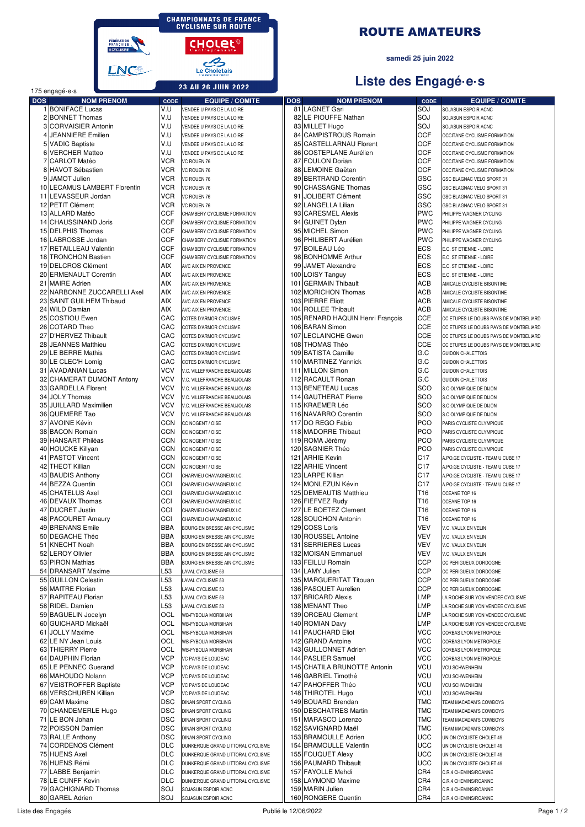**CHAMPIONNATS DE FRANCE<br>CYCLISME SUR ROUTE** 

CHOLEL<sup>®</sup>

Le Choletais **23 AU 26 JUIN 2022** 

FÉDÉRATION<br>FRANÇAISE<br>BOYCLISME **LNC®** 

#### ROUTE AMATEURS

#### **samedi 25 juin 2022**

#### **Liste des Engagé·e·s**

|            | 175 engagé e s               |             |                                   |            |                                  |                 |                                        |
|------------|------------------------------|-------------|-----------------------------------|------------|----------------------------------|-----------------|----------------------------------------|
| <b>DOS</b> | <b>NOM PRENOM</b>            | <b>CODE</b> | <b>EQUIPE / COMITE</b>            | <b>DOS</b> | <b>NOM PRENOM</b>                | <b>CODE</b>     | <b>EQUIPE / COMITE</b>                 |
|            | 1 BONIFACE Lucas             | V.U         | VENDEE U PAYS DE LA LOIRE         |            | 81 LAGNET Gari                   | SOJ             | SOJASUN ESPOIR ACNC                    |
|            | 2 BONNET Thomas              | V.U         | VENDEE U PAYS DE LA LOIRE         |            | 82 LE PIOUFFE Nathan             | SOJ             | SOJASUN ESPOIR ACNC                    |
|            | 3 CORVAISIER Antonin         | V.U         | VENDEE U PAYS DE LA LOIRE         |            | 83 MILLET Hugo                   | SOJ             | SOJASUN ESPOIR ACNC                    |
|            | 4 JEANNIERE Emilien          | V.U         | VENDEE U PAYS DE LA LOIRE         |            | 84 CAMPISTROUS Romain            | OCF             | OCCITANE CYCLISME FORMATION            |
|            | 5 VADIC Baptiste             | V.U         | VENDEE U PAYS DE LA LOIRE         |            | 85 CASTELLARNAU Florent          | OCF             | OCCITANE CYCLISME FORMATION            |
|            | 6 VERCHER Matteo             | V.U         | VENDEE U PAYS DE LA LOIRE         |            | 86 COSTEPLANE Aurélien           | OCF             | OCCITANE CYCLISME FORMATION            |
|            | 7 CARLOT Matéo               | <b>VCR</b>  | VC ROUEN 76                       |            | 87 FOULON Dorian                 | OCF             | OCCITANE CYCLISME FORMATION            |
|            | 8 HAVOT Sébastien            | <b>VCR</b>  | VC ROUEN 76                       |            | 88 LEMOINE Gaëtan                | OCF             | OCCITANE CYCLISME FORMATION            |
|            | 9 JAMOT Julien               | <b>VCR</b>  | VC ROUEN 76                       |            | 89 BERTRAND Corentin             | GSC             | GSC BLAGNAC VELO SPORT 31              |
|            | 10 LECAMUS LAMBERT Florentin | <b>VCR</b>  | VC ROUEN 76                       |            | 90 CHASSAGNE Thomas              | GSC             | GSC BLAGNAC VELO SPORT 31              |
|            | 11 LEVASSEUR Jordan          | <b>VCR</b>  | VC ROUEN 76                       | 91         | <b>JOLIBERT Clément</b>          | GSC             | GSC BLAGNAC VELO SPORT 31              |
|            | 12 PETIT Clément             | VCR         | VC ROUEN 76                       |            | 92 LANGELLA Lilian               | GSC             | GSC BLAGNAC VELO SPORT 31              |
|            | 13 ALLARD Matéo              | <b>CCF</b>  | CHAMBERY CYCLISME FORMATION       |            | 93 CARESMEL Alexis               | <b>PWC</b>      | PHILIPPE WAGNER CYCLING                |
|            | 14 CHAUSSINAND Joris         | <b>CCF</b>  | CHAMBERY CYCLISME FORMATION       |            | 94 GUINET Dylan                  | <b>PWC</b>      | PHILIPPE WAGNER CYCLING                |
|            | 15 DELPHIS Thomas            | <b>CCF</b>  | CHAMBERY CYCLISME FORMATION       |            | 95 MICHEL Simon                  | <b>PWC</b>      | PHILIPPE WAGNER CYCLING                |
|            | 16 LABROSSE Jordan           | <b>CCF</b>  | CHAMBERY CYCLISME FORMATION       |            | 96 PHILIBERT Aurélien            | <b>PWC</b>      | PHILIPPE WAGNER CYCLING                |
|            | 17 RETAILLEAU Valentin       | <b>CCF</b>  | CHAMBERY CYCLISME FORMATION       |            | 97 BOILEAU Léo                   | <b>ECS</b>      | E.C. ST ETIENNE - LOIRE                |
|            | 18 TRONCHON Bastien          | <b>CCF</b>  | CHAMBERY CYCLISME FORMATION       |            | 98 BONHOMME Arthur               | <b>ECS</b>      | E.C. ST ETIENNE - LOIRE                |
|            | 19 DELCROS Clément           | AIX         | AVC AIX EN PROVENCE               |            | 99 JAMET Alexandre               | <b>ECS</b>      | E.C. ST ETIENNE - LOIRE                |
|            | 20 ERMENAULT Corentin        | <b>AIX</b>  | AVC AIX EN PROVENCE               |            | 100 LOISY Tanguy                 | <b>ECS</b>      | E.C. ST ETIENNE - LOIRE                |
|            | 21 MAIRE Adrien              | <b>AIX</b>  | AVC AIX EN PROVENCE               | 101        | <b>GERMAIN Thibault</b>          | ACB             | AMICALE CYCLISTE BISONTINE             |
|            | 22 NARBONNE ZUCCARELLI Axel  | <b>AIX</b>  | AVC AIX EN PROVENCE               |            | 102 MORICHON Thomas              | ACB             | AMICALE CYCLISTE BISONTINE             |
|            | 23 SAINT GUILHEM Thibaud     | <b>AIX</b>  |                                   |            | 103 PIERRE Eliott                | <b>ACB</b>      |                                        |
|            | 24 WILD Damian               | AIX         | AVC AIX EN PROVENCE               |            |                                  | <b>ACB</b>      | AMICALE CYCLISTE BISONTINE             |
|            | 25 COSTIOU Ewen              |             | AVC AIX EN PROVENCE               |            | 104 ROLLEE Thibault              |                 | AMICALE CYCLISTE BISONTINE             |
|            |                              | CAC         | COTES D'ARMOR CYCLISME            |            | 105 RENARD HAQUIN Henri François | CCE             | CC ETUPES LE DOUBS PAYS DE MONTBELIARD |
|            | 26 COTARD Theo               | CAC         | COTES D'ARMOR CYCLISME            |            | 106 BARAN Simon                  | <b>CCE</b>      | CC ETUPES LE DOUBS PAYS DE MONTBELIARD |
|            | 27 D'HERVEZ Thibault         | CAC         | COTES D'ARMOR CYCLISME            |            | 107 LECLAINCHE Gwen              | CCE             | CC ETUPES LE DOUBS PAYS DE MONTBELIARD |
|            | 28 JEANNES Matthieu          | CAC         | COTES D'ARMOR CYCLISME            |            | 108 THOMAS Théo                  | <b>CCE</b>      | CC ETUPES LE DOUBS PAYS DE MONTBELIARD |
|            | 29 LE BERRE Mathis           | CAC         | COTES D'ARMOR CYCLISME            |            | 109 BATISTA Camille              | G.C             | <b>GUIDON CHALETTOIS</b>               |
|            | 30 LE CLEC'H Lomig           | CAC         | COTES D'ARMOR CYCLISME            |            | 110 MARTINEZ Yannick             | G.C             | <b>GUIDON CHALETTOIS</b>               |
|            | 31 AVADANIAN Lucas           | vcv         | V.C. VILLEFRANCHE BEAUJOLAIS      |            | 111 MILLON Simon                 | G.C             | <b>GUIDON CHALETTOIS</b>               |
|            | 32 CHAMERAT DUMONT Antony    | <b>VCV</b>  | V.C. VILLEFRANCHE BEAUJOLAIS      |            | 112 RACAULT Ronan                | G.C             | <b>GUIDON CHALETTOIS</b>               |
|            | 33 GARDELLA Florent          | vcv         | V.C. VILLEFRANCHE BEAUJOLAIS      |            | 113 BENETEAU Lucas               | SCO             | S.C.OLYMPIQUE DE DIJON                 |
|            | 34 JOLY Thomas               | <b>VCV</b>  | V.C. VILLEFRANCHE BEAUJOLAIS      |            | 114 GAUTHERAT Pierre             | SCO             | S.C.OLYMPIQUE DE DIJON                 |
|            | 35 JUILLARD Maximilien       | vcv         | V.C. VILLEFRANCHE BEAUJOLAIS      |            | 115 KRAEMER Léo                  | SCO             | S.C.OLYMPIQUE DE DIJON                 |
|            | 36 QUEMERE Tao               | vcv         | V.C. VILLEFRANCHE BEAUJOLAIS      |            | 116 NAVARRO Corentin             | SCO             | S.C.OLYMPIQUE DE DIJON                 |
|            | 37 AVOINE Kévin              | <b>CCN</b>  | CC NOGENT / OISE                  |            | 117 DO REGO Fabio                | PCO             | PARIS CYCLISTE OLYMPIQUE               |
|            | 38 BACON Romain              | <b>CCN</b>  | CC NOGENT / OISE                  |            | 118 MADORRE Thibaut              | PCO             | PARIS CYCLISTE OLYMPIQUE               |
|            | 39 HANSART Philéas           | <b>CCN</b>  | CC NOGENT / OISE                  |            | 119 ROMA Jérémy                  | PCO             | PARIS CYCLISTE OLYMPIQUE               |
|            | 40 HOUCKE Killyan            | <b>CCN</b>  | CC NOGENT / OISE                  |            | 120 SAGNIER Théo                 | PCO             | PARIS CYCLISTE OLYMPIQUE               |
|            | 41 PASTOT Vincent            | <b>CCN</b>  | CC NOGENT / OISE                  |            | 121 ARHIE Kevin                  | C17             | A.PO.GE CYCLISTE - TEAM U CUBE 17      |
|            | 42 THEOT Killian             | <b>CCN</b>  | CC NOGENT / OISE                  |            | 122 ARHIE Vincent                | C17             | A.PO.GE CYCLISTE - TEAM U CUBE 17      |
|            | 43 BAUDIS Anthony            | CCI         | CHARVIEU CHAVAGNEUX I.C.          |            | 123 LARPE Killian                | C <sub>17</sub> | A.PO.GE CYCLISTE - TEAM U CUBE 17      |
|            | 44 BEZZA Quentin             | CCI         | CHARVIEU CHAVAGNEUX I.C.          |            | 124 MONLEZUN Kévin               | C <sub>17</sub> | A.PO.GE CYCLISTE - TEAM U CUBE 17      |
|            | 45 CHATELUS Axel             | CCI         | CHARVIEU CHAVAGNEUX I.C.          |            | 125 DEMEAUTIS Matthieu           | T <sub>16</sub> | <b>OCEANE TOP 16</b>                   |
|            | 46 DEVAUX Thomas             | CCI         | CHARVIEU CHAVAGNEUX I.C.          |            | 126 FIEFVEZ Rudy                 | T16             | OCEANE TOP 16                          |
|            | 47 DUCRET Justin             | CCI         | CHARVIEU CHAVAGNEUX I.C.          |            | 127 LE BOETEZ Clement            | T16             | OCEANE TOP 16                          |
|            | 48 PACOURET Amaury           | CCI         | CHARVIEU CHAVAGNEUX I.C.          |            | 128 SOUCHON Antonin              | T <sub>16</sub> |                                        |
|            | 49 BRENANS Emile             | <b>BBA</b>  | BOURG EN BRESSE AIN CYCLISME      |            | 129 COSS Loris                   | <b>VEV</b>      | OCEANE TOP 16                          |
|            |                              |             |                                   |            | 130 ROUSSEL Antoine              | VEV             | V.C. VAULX EN VELIN                    |
|            | 50 DEGACHE Théo              | <b>BBA</b>  | BOURG EN BRESSE AIN CYCLISME      |            |                                  |                 | V.C. VAULX EN VELIN                    |
|            | 51 KNECHT Noah               | <b>BBA</b>  | BOURG EN BRESSE AIN CYCLISME      |            | 131 SERRIERES Lucas              | VEV             | V.C. VAULX EN VELIN                    |
|            | 52 LEROY Olivier             | <b>BBA</b>  | BOURG EN BRESSE AIN CYCLISME      |            | 132 MOISAN Emmanuel              | VEV             | V.C. VAULX EN VELIN                    |
|            | 53 PIRON Mathias             | <b>BBA</b>  | BOURG EN BRESSE AIN CYCLISME      |            | 133 FEILLU Romain                | <b>CCP</b>      | CC PERIGUEUX DORDOGNE                  |
|            | 54 DRANSART Maxime           | L53         | LAVAL CYCLISME 53                 |            | 134 LAMY Julien                  | <b>CCP</b>      | CC PERIGUEUX DORDOGNE                  |
|            | 55 GUILLON Celestin          | L53         | LAVAL CYCLISME 53                 |            | 135 MARGUERITAT Titouan          | <b>CCP</b>      | CC PERIGUEUX DORDOGNE                  |
|            | 56 MAITRE Florian            | L53         | LAVAL CYCLISME 53                 |            | 136 PASQUET Aurelien             | <b>CCP</b>      | CC PERIGUEUX DORDOGNE                  |
|            | 57 RAPITEAU Florian          | L53         | LAVAL CYCLISME 53                 |            | 137 BRICARD Alexis               | <b>LMP</b>      | LA ROCHE SUR YON VENDEE CYCLISME       |
|            | 58 RIDEL Damien              | L53         | LAVAL CYCLISME 53                 |            | 138 MENANT Theo                  | LMP             | LA ROCHE SUR YON VENDEE CYCLISME       |
|            | 59 BAGUELIN Jocelyn          | OCL         | WB-FYBOLIA MORBIHAN               |            | 139 ORCEAU Clement               | <b>LMP</b>      | LA ROCHE SUR YON VENDEE CYCLISME       |
|            | 60 GUICHARD Mickaël          | OCL         | <b>WB-FYBOLIA MORBIHAN</b>        |            | 140 ROMIAN Davy                  | <b>LMP</b>      | LA ROCHE SUR YON VENDEE CYCLISME       |
|            | 61 JOLLY Maxime              | OCL         | <b>WB-FYBOLIA MORBIHAN</b>        |            | 141 PAUCHARD Eliot               | VCC             | CORBAS LYON METROPOLE                  |
|            | 62 LE NY Jean Louis          | OCL         | WB-FYBOLIA MORBIHAN               |            | 142 GRAND Antoine                | VCC             | CORBAS LYON METROPOLE                  |
|            | 63 THIERRY Pierre            | OCL         | WB-FYBOLIA MORBIHAN               |            | 143 GUILLONNET Adrien            | <b>VCC</b>      | CORBAS LYON METROPOLE                  |
|            | 64 DAUPHIN Florian           | VCP         | VC PAYS DE LOUDEAC                |            | 144 PASLIER Samuel               | <b>VCC</b>      | CORBAS LYON METROPOLE                  |
|            | 65 LE PENNEC Guerand         | VCP         | VC PAYS DE LOUDEAC                |            | 145 CHATILA BRUNOTTE Antonin     | <b>VCU</b>      | <b>VCU SCHWENHEIM</b>                  |
|            | 66 MAHOUDO Nolann            | VCP         | VC PAYS DE LOUDEAC                |            | 146 GABRIEL Timothé              | <b>VCU</b>      | <b>VCU SCHWENHEIM</b>                  |
|            | 67 VEISTROFFER Baptiste      | VCP         | VC PAYS DE LOUDEAC                |            | 147 PAHOFFER Théo                | <b>VCU</b>      | <b>VCU SCHWENHEIM</b>                  |
|            | 68 VERSCHUREN Killian        | VCP         | VC PAYS DE LOUDEAC                |            | 148 THIROTEL Hugo                | <b>VCU</b>      | <b>VCU SCHWENHEIM</b>                  |
|            | 69 CAM Maxime                | <b>DSC</b>  | DINAN SPORT CYCLING               |            | 149 BOUARD Brendan               | <b>TMC</b>      | TEAM MACADAM'S COWBOYS                 |
|            | 70 CHANDEMERLE Hugo          | <b>DSC</b>  | DINAN SPORT CYCLING               |            | 150 DESCHATRES Martin            | <b>TMC</b>      | TEAM MACADAM'S COWBOYS                 |
|            | 71 LE BON Johan              | <b>DSC</b>  | DINAN SPORT CYCLING               |            | 151 MARASCO Lorenzo              | TMC             | TEAM MACADAM'S COWBOYS                 |
|            | 72 POISSON Damien            | <b>DSC</b>  | DINAN SPORT CYCLING               |            | 152 SAVIGNARD Maël               | TMC             | TEAM MACADAM'S COWBOYS                 |
|            | 73 RALLE Anthony             | <b>DSC</b>  | DINAN SPORT CYCLING               |            | 153 BRAMOULLE Adrien             | <b>UCC</b>      | UNION CYCLISTE CHOLET 49               |
|            | 74 CORDENOS Clément          | <b>DLC</b>  | DUNKERQUE GRAND LITTORAL CYCLISME |            | 154 BRAMOULLE Valentin           | <b>UCC</b>      | UNION CYCLISTE CHOLET 49               |
|            | 75 HUENS Axel                | <b>DLC</b>  | DUNKERQUE GRAND LITTORAL CYCLISME |            | 155 FOUQUET Alexy                | <b>UCC</b>      | UNION CYCLISTE CHOLET 49               |
|            | 76 HUENS Rémi                | <b>DLC</b>  | DUNKERQUE GRAND LITTORAL CYCLISME |            | 156 PAUMARD Thibault             | UCC             | UNION CYCLISTE CHOLET 49               |
|            | 77 LABBE Benjamin            | <b>DLC</b>  | DUNKERQUE GRAND LITTORAL CYCLISME |            | 157 FAYOLLE Mehdi                | CR4             | C.R.4 CHEMINS/ROANNE                   |
|            | 78 LE CUNFF Kevin            | <b>DLC</b>  | DUNKERQUE GRAND LITTORAL CYCLISME |            | 158 LAYMOND Maxime               | CR4             | C.R.4 CHEMINS/ROANNE                   |
|            | 79 GACHIGNARD Thomas         | SOJ         | SOJASUN ESPOIR ACNC               |            | 159 MARIN Julien                 | CR4             | C.R.4 CHEMINS/ROANNE                   |
|            | 80 GAREL Adrien              | SOJ         | SOJASUN ESPOIR ACNC               |            | 160 RONGERE Quentin              | CR4             | C.R.4 CHEMINS/ROANNE                   |
|            |                              |             |                                   |            |                                  |                 |                                        |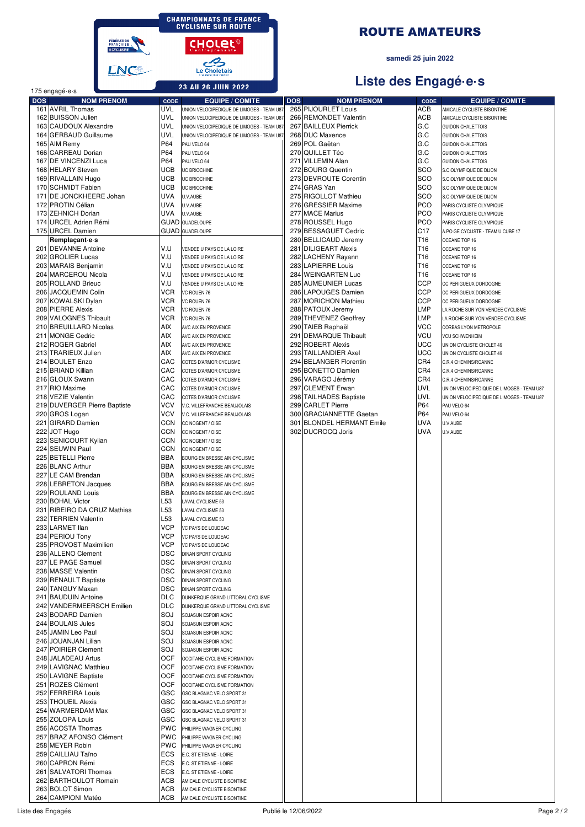**CHAMPIONNATS DE FRANCE<br>CYCLISME SUR ROUTE** 

CHOLEL<sup>®</sup>

Le Choletais

FÉDÉRATION<br>FRANÇAISE<br>BOYCLISME **LNG** 



#### samedi 25 juin 2022

# Liste des Engagé.e.s

| <b>23 AU 26 JUIN 2022</b><br>175 engagé e s |                                                  | Liste des Engage e s |                          |                                                              |     |                                              |                               |                                                      |
|---------------------------------------------|--------------------------------------------------|----------------------|--------------------------|--------------------------------------------------------------|-----|----------------------------------------------|-------------------------------|------------------------------------------------------|
| <b>DOS</b>                                  |                                                  | <b>NOM PRENOM</b>    | CODE                     | <b>EQUIPE / COMITE</b>                                       | DOS | <b>NOM PRENOM</b>                            | CODE                          | <b>EQUIPE / COMITE</b>                               |
|                                             | 161 AVRIL Thomas                                 |                      | UVL                      | UNION VELOCIPEDIQUE DE LIMOGES - TEAM U87                    |     | 265 PIJOURLET Louis                          | <b>ACB</b>                    | AMICALE CYCLISTE BISONTINE                           |
|                                             | 162 BUISSON Julien                               |                      | <b>UVL</b>               | UNION VELOCIPEDIQUE DE LIMOGES - TEAM U87                    |     | 266 REMONDET Valentin                        | ACB                           | AMICALE CYCLISTE BISONTINE                           |
|                                             | 163 CAUDOUX Alexandre                            |                      | <b>UVL</b><br><b>UVL</b> | UNION VELOCIPEDIQUE DE LIMOGES - TEAM U87                    |     | 267 BAILLEUX Pierrick                        | G.C<br>G.C                    | <b>GUIDON CHALETTOIS</b>                             |
|                                             | 164 GERBAUD Guillaume<br>165 AIM Remy            |                      | P64                      | UNION VELOCIPEDIQUE DE LIMOGES - TEAM U87<br>PAU VELO 64     |     | 268 DUC Maxence<br>269 POL Gaëtan            | G.C                           | <b>GUIDON CHALETTOIS</b><br><b>GUIDON CHALETTOIS</b> |
|                                             | 166 CARREAU Dorian                               |                      | P64                      | PAU VELO 64                                                  |     | 270 QUILLET Téo                              | G.C                           | <b>GUIDON CHALETTOIS</b>                             |
|                                             | 167 DE VINCENZI Luca                             |                      | P64                      | PAU VELO 64                                                  |     | 271 VILLEMIN Alan                            | G.C                           | <b>GUIDON CHALETTOIS</b>                             |
|                                             | 168 HELARY Steven                                |                      | <b>UCB</b>               | UC BRIOCHINE                                                 |     | 272 BOURG Quentin                            | SCO                           | S.C.OLYMPIQUE DE DIJON                               |
|                                             | 169 RIVALLAIN Hugo                               |                      | <b>UCB</b>               | UC BRIOCHINE                                                 |     | 273 DEVROUTE Corentin                        | SCO                           | S.C.OLYMPIQUE DE DIJON                               |
|                                             | 170 SCHMIDT Fabien                               |                      | <b>UCB</b>               | UC BRIOCHINE                                                 |     | 274 GRAS Yan                                 | SCO                           | S.C.OLYMPIQUE DE DIJON                               |
|                                             | 171 DE JONCKHEERE Johan                          |                      | <b>UVA</b>               | U.V.AUBE                                                     |     | 275 RIGOLLOT Mathieu                         | SCO                           | S.C.OLYMPIQUE DE DIJON                               |
|                                             | 172 PROTIN Célian                                |                      | <b>UVA</b><br><b>UVA</b> | U.V.AUBE                                                     |     | 276 GRESSIER Maxime                          | <b>PCO</b><br><b>PCO</b>      | PARIS CYCLISTE OLYMPIQUE                             |
|                                             | 173 ZEHNICH Dorian<br>174 URCEL Adrien Rémi      |                      |                          | U.V.AUBE<br><b>GUAD</b> GUADELOUPE                           |     | 277 MACE Marius<br>278 ROUSSEL Hugo          | <b>PCO</b>                    | PARIS CYCLISTE OLYMPIQUE<br>PARIS CYCLISTE OLYMPIQUE |
|                                             | 175 URCEL Damien                                 |                      |                          | <b>GUAD</b> GUADELOUPE                                       |     | 279 BESSAGUET Cedric                         | C <sub>17</sub>               | A.PO.GE CYCLISTE - TEAM U CUBE 17                    |
|                                             | Remplaçant e s                                   |                      |                          |                                                              |     | 280 BELLICAUD Jeremy                         | T16                           | OCEANE TOP 16                                        |
|                                             | 201 DEVANNE Antoine                              |                      | V.U                      | VENDEE U PAYS DE LA LOIRE                                    |     | 281 DILIGEART Alexis                         | T <sub>16</sub>               | OCEANE TOP 16                                        |
|                                             | 202 GROLIER Lucas                                |                      | V.U                      | VENDEE U PAYS DE LA LOIRE                                    |     | 282 LACHENY Rayann                           | T <sub>16</sub>               | OCEANE TOP 16                                        |
|                                             | 203 MARAIS Benjamin                              |                      | V.U                      | VENDEE U PAYS DE LA LOIRE                                    |     | 283 LAPIERRE Louis                           | T <sub>16</sub>               | OCEANE TOP 16                                        |
|                                             | 204 MARCEROU Nicola                              |                      | V.U<br>V.U               | VENDEE U PAYS DE LA LOIRE                                    |     | 284 WEINGARTEN Luc                           | T <sub>16</sub><br><b>CCP</b> | OCEANE TOP 16                                        |
|                                             | 205 ROLLAND Brieuc<br>206 JACQUEMIN Colin        |                      | <b>VCR</b>               | VENDEE U PAYS DE LA LOIRE<br>VC ROUEN 76                     |     | 285 AUMEUNIER Lucas<br>286 LAPOUGES Damien   | <b>CCP</b>                    | CC PERIGUEUX DORDOGNE<br>CC PERIGUEUX DORDOGNE       |
|                                             | 207 KOWALSKI Dylan                               |                      | VCR                      | VC ROUEN 76                                                  |     | 287 MORICHON Mathieu                         | <b>CCP</b>                    | CC PERIGUEUX DORDOGNE                                |
|                                             | 208 PIERRE Alexis                                |                      | VCR                      | VC ROUEN 76                                                  |     | 288 PATOUX Jeremy                            | <b>LMP</b>                    | LA ROCHE SUR YON VENDEE CYCLISME                     |
|                                             | 209 VALOGNES Thibault                            |                      | <b>VCR</b>               | VC ROUEN 76                                                  |     | 289 THEVENEZ Geoffrey                        | <b>LMP</b>                    | LA ROCHE SUR YON VENDEE CYCLISME                     |
|                                             | 210 BREUILLARD Nicolas                           |                      | AIX                      | AVC AIX EN PROVENCE                                          |     | 290 TAIEB Raphaël                            | <b>VCC</b>                    | CORBAS LYON METROPOLE                                |
|                                             | 211 MONGE Cedric                                 |                      | AIX                      | AVC AIX EN PROVENCE                                          | 291 | DEMARQUE Thibault                            | <b>VCU</b>                    | <b>VCU SCHWENHEIM</b>                                |
|                                             | 212 ROGER Gabriel                                |                      | AIX                      | AVC AIX EN PROVENCE                                          |     | 292 ROBERT Alexis                            | <b>UCC</b>                    | UNION CYCLISTE CHOLET 49                             |
|                                             | 213 TRARIEUX Julien                              |                      | AIX                      | AVC AIX EN PROVENCE                                          |     | 293 TAILLANDIER Axel                         | <b>UCC</b>                    | UNION CYCLISTE CHOLET 49                             |
|                                             | 214 BOULET Enzo<br>215 BRIAND Killian            |                      | CAC<br>CAC               | COTES D'ARMOR CYCLISME                                       |     | 294 BELANGER Florentin<br>295 BONETTO Damien | CR4<br>CR4                    | C.R.4 CHEMINS/ROANNE                                 |
|                                             | 216 GLOUX Swann                                  |                      | CAC                      | COTES D'ARMOR CYCLISME<br>COTES D'ARMOR CYCLISME             |     | 296 VARAGO Jérémy                            | CR4                           | C.R.4 CHEMINS/ROANNE<br>C.R.4 CHEMINS/ROANNE         |
|                                             | 217 RIO Maxime                                   |                      | CAC                      | COTES D'ARMOR CYCLISME                                       |     | 297 CLEMENT Erwan                            | <b>UVL</b>                    | UNION VELOCIPEDIQUE DE LIMOGES - TEAM U87            |
|                                             | 218 VEZIE Valentin                               |                      | CAC                      | COTES D'ARMOR CYCLISME                                       |     | 298 TAILHADES Baptiste                       | <b>UVL</b>                    | UNION VELOCIPEDIQUE DE LIMOGES - TEAM U87            |
|                                             | 219 DUVERGER Pierre Baptiste                     |                      | VCV                      | V.C. VILLEFRANCHE BEAUJOLAIS                                 |     | 299 CARLET Pierre                            | P64                           | PAU VELO 64                                          |
|                                             | 220 GROS Logan                                   |                      | VCV                      | V.C. VILLEFRANCHE BEAUJOLAIS                                 |     | 300 GRACIANNETTE Gaetan                      | P64                           | PAU VELO 64                                          |
|                                             | 221 GIRARD Damien                                |                      | <b>CCN</b>               | CC NOGENT / OISE                                             |     | 301 BLONDEL HERMANT Emile                    | <b>UVA</b>                    | U.V.AUBE                                             |
|                                             | 222 JOT Hugo                                     |                      | <b>CCN</b>               | CC NOGENT / OISE                                             |     | 302 DUCROCQ Joris                            | <b>UVA</b>                    | U.V.AUBE                                             |
|                                             | 223 SENICOURT Kylian                             |                      | <b>CCN</b>               | CC NOGENT / OISE                                             |     |                                              |                               |                                                      |
|                                             | 224 SEUWIN Paul<br>225 BETELLI Pierre            |                      | <b>CCN</b><br><b>BBA</b> | CC NOGENT / OISE                                             |     |                                              |                               |                                                      |
|                                             | 226 BLANC Arthur                                 |                      | <b>BBA</b>               | BOURG EN BRESSE AIN CYCLISME<br>BOURG EN BRESSE AIN CYCLISME |     |                                              |                               |                                                      |
|                                             | 227 LE CAM Brendan                               |                      | <b>BBA</b>               | BOURG EN BRESSE AIN CYCLISME                                 |     |                                              |                               |                                                      |
|                                             | 228 LEBRETON Jacques                             |                      | <b>BBA</b>               | BOURG EN BRESSE AIN CYCLISME                                 |     |                                              |                               |                                                      |
|                                             | 229 ROULAND Louis                                |                      | <b>BBA</b>               | BOURG EN BRESSE AIN CYCLISME                                 |     |                                              |                               |                                                      |
|                                             | 230 BOHAL Victor                                 |                      | L53                      | LAVAL CYCLISME 53                                            |     |                                              |                               |                                                      |
|                                             | 231 RIBEIRO DA CRUZ Mathias                      |                      | L53                      | LAVAL CYCLISME 53                                            |     |                                              |                               |                                                      |
|                                             | 232 TERRIEN Valentin                             |                      | L <sub>53</sub><br>VCP   | LAVAL CYCLISME 53                                            |     |                                              |                               |                                                      |
|                                             | 233 LARMET Ilan<br>234 PERIOU Tony               |                      | VCP                      | VC PAYS DE LOUDEAC<br>VC PAYS DE LOUDEAC                     |     |                                              |                               |                                                      |
|                                             | 235 PROVOST Maximilien                           |                      | VCP                      | VC PAYS DE LOUDEAC                                           |     |                                              |                               |                                                      |
|                                             | 236 ALLENO Clement                               |                      | DSC                      | DINAN SPORT CYCLING                                          |     |                                              |                               |                                                      |
|                                             | 237 LE PAGE Samuel                               |                      | <b>DSC</b>               | DINAN SPORT CYCLING                                          |     |                                              |                               |                                                      |
|                                             | 238 MASSE Valentin                               |                      | <b>DSC</b>               | DINAN SPORT CYCLING                                          |     |                                              |                               |                                                      |
|                                             | 239 RENAULT Baptiste                             |                      | <b>DSC</b>               | DINAN SPORT CYCLING                                          |     |                                              |                               |                                                      |
|                                             | 240 TANGUY Maxan                                 |                      | <b>DSC</b>               | DINAN SPORT CYCLING                                          |     |                                              |                               |                                                      |
|                                             | 241 BAUDUIN Antoine<br>242 VANDERMEERSCH Emilien |                      | <b>DLC</b><br><b>DLC</b> | DUNKERQUE GRAND LITTORAL CYCLISME                            |     |                                              |                               |                                                      |
|                                             | 243 BODARD Damien                                |                      | SOJ                      | DUNKERQUE GRAND LITTORAL CYCLISME<br>SOJASUN ESPOIR ACNC     |     |                                              |                               |                                                      |
|                                             | 244 BOULAIS Jules                                |                      | SOJ                      | SOJASUN ESPOIR ACNC                                          |     |                                              |                               |                                                      |
|                                             | 245 JAMIN Leo Paul                               |                      | SOJ                      | SOJASUN ESPOIR ACNC                                          |     |                                              |                               |                                                      |
|                                             | 246 JOUANJAN Lilian                              |                      | SOJ                      | SOJASUN ESPOIR ACNC                                          |     |                                              |                               |                                                      |
|                                             | 247 POIRIER Clement                              |                      | SOJ                      | SOJASUN ESPOIR ACNC                                          |     |                                              |                               |                                                      |
|                                             | 248 JALADEAU Artus                               |                      | OCF                      | OCCITANE CYCLISME FORMATION                                  |     |                                              |                               |                                                      |
|                                             | 249 LAVIGNAC Matthieu                            |                      | OCF                      | OCCITANE CYCLISME FORMATION                                  |     |                                              |                               |                                                      |
|                                             | 250 LAVIGNE Baptiste                             |                      | OCF<br><b>OCF</b>        | OCCITANE CYCLISME FORMATION                                  |     |                                              |                               |                                                      |
|                                             | 251 ROZES Clément<br>252 FERREIRA Louis          |                      | GSC                      | OCCITANE CYCLISME FORMATION<br>GSC BLAGNAC VELO SPORT 31     |     |                                              |                               |                                                      |
|                                             | 253 THOUEIL Alexis                               |                      | GSC                      | GSC BLAGNAC VELO SPORT 31                                    |     |                                              |                               |                                                      |
|                                             | 254 WARMERDAM Max                                |                      | GSC                      | GSC BLAGNAC VELO SPORT 31                                    |     |                                              |                               |                                                      |
|                                             | 255 ZOLOPA Louis                                 |                      | GSC                      | GSC BLAGNAC VELO SPORT 31                                    |     |                                              |                               |                                                      |
|                                             | 256 ACOSTA Thomas                                |                      | <b>PWC</b>               | PHILIPPE WAGNER CYCLING                                      |     |                                              |                               |                                                      |
|                                             | 257 BRAZ AFONSO Clément                          |                      | <b>PWC</b>               | PHILIPPE WAGNER CYCLING                                      |     |                                              |                               |                                                      |
|                                             | 258 MEYER Robin                                  |                      | <b>PWC</b>               | PHILIPPE WAGNER CYCLING                                      |     |                                              |                               |                                                      |
|                                             | 259 CAILLIAU Taïno                               |                      | ECS                      | E.C. ST ETIENNE - LOIRE                                      |     |                                              |                               |                                                      |
|                                             | 260 CAPRON Rémi<br>261 SALVATORI Thomas          |                      | ECS<br>ECS               | E.C. ST ETIENNE - LOIRE<br>E.C. ST ETIENNE - LOIRE           |     |                                              |                               |                                                      |
|                                             | 262 BARTHOULOT Romain                            |                      | ACB                      | AMICALE CYCLISTE BISONTINE                                   |     |                                              |                               |                                                      |
|                                             | 263 BOLOT Simon                                  |                      | ACB                      | AMICALE CYCLISTE BISONTINE                                   |     |                                              |                               |                                                      |
|                                             | 264 CAMPIONI Matéo                               |                      | ACB                      | AMICALE CYCLISTE BISONTINE                                   |     |                                              |                               |                                                      |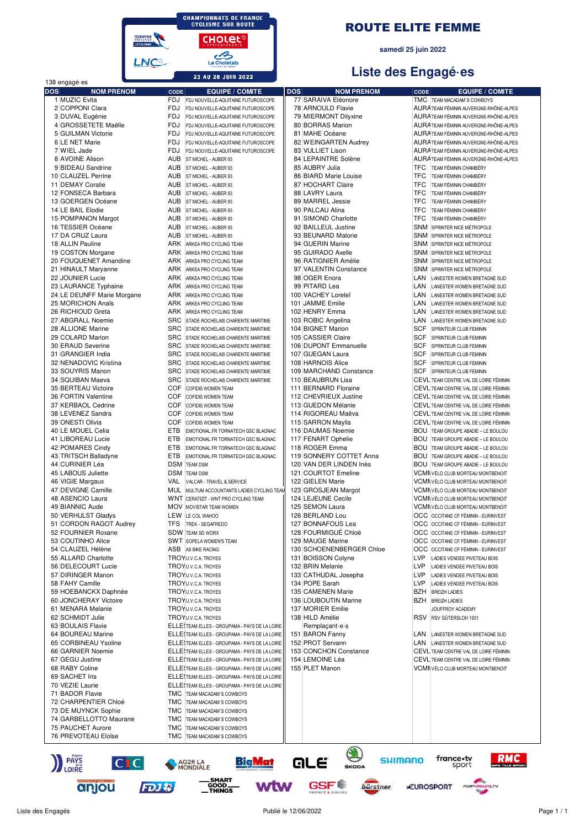

#### **ROUTE ELITE FEMME**

samedi 25 juin 2022

# Liste des Engagé es

|            | 138 engagé es                |             |                                                    |                                       |             |                                                            |
|------------|------------------------------|-------------|----------------------------------------------------|---------------------------------------|-------------|------------------------------------------------------------|
| <b>DOS</b> | <b>NOM PRENOM</b>            | <b>CODE</b> | <b>EQUIPE / COMITE</b>                             | <b>NOM PRENOM</b><br><b>DOS</b>       | <b>CODE</b> | <b>EQUIPE / COMITE</b>                                     |
|            | 1 MUZIC Evita                | FDJ         | FDJ NOUVELLE-AQUITAINE FUTUROSCOPE                 | 77 SARAIVA Eléonore                   |             | TMC TEAM MACADAM'S COWBOYS                                 |
|            | 2 COPPONI Clara              | <b>FDJ</b>  | FDJ NOUVELLE-AQUITAINE FUTUROSCOPE                 | 78 ARNOULD Flavie                     |             | AURATEAM FÉMININ AUVERGNE-RHÔNE-ALPES                      |
|            | 3 DUVAL Eugénie              | <b>FDJ</b>  | FDJ NOUVELLE-AQUITAINE FUTUROSCOPE                 | 79 MIERMONT Dilyxine                  |             | AURA TEAM FÉMININ AUVERGNE-RHÔNE-ALPES                     |
|            | 4 GROSSETETE Maëlle          | FDJ         | FDJ NOUVELLE-AQUITAINE FUTUROSCOPE                 | 80 BORRAS Marion                      |             | AURA TEAM FÉMININ AUVERGNE-RHÔNE-ALPES                     |
|            | 5 GUILMAN Victorie           | FDJ         | FDJ NOUVELLE-AQUITAINE FUTUROSCOPE                 | 81 MAHE Océane                        |             | AURA TEAM FÉMININ AUVERGNE-RHÔNE-ALPES                     |
|            | 6 LE NET Marie               | FDJ         | FDJ NOUVELLE-AQUITAINE FUTUROSCOPE                 | 82 WEINGARTEN Audrey                  |             | AURA TEAM FÉMININ AUVERGNE-RHÔNE-ALPES                     |
|            | 7 WIEL Jade                  | FDJ         | FDJ NOUVELLE-AQUITAINE FUTUROSCOPE                 | 83 VULLIET Lison                      |             | AURA TEAM FÉMININ AUVERGNE-RHÔNE-ALPES                     |
|            | 8 AVOINE Alison              | AUB         | ST MICHEL - AUBER 93                               | 84 LEPAINTRE Solène                   |             | AURA TEAM FÉMININ AUVERGNE-RHÔNE-ALPES                     |
|            | 9 BIDEAU Sandrine            | AUB         | ST MICHEL - AUBER 93                               | 85 AUBRY Julia                        | TFC         | TEAM FÉMININ CHAMBÉRY                                      |
|            | 10 CLAUZEL Perrine           | AUB         | ST MICHEL - AUBER 93                               | 86 BIARD Marie Louise                 | <b>TFC</b>  | TEAM FÉMININ CHAMBÉRY                                      |
|            | 11 DEMAY Coralie             | AUB         | ST MICHEL - AUBER 93                               | 87 HOCHART Claire                     | TFC         | TEAM FÉMININ CHAMBÉRY                                      |
|            | 12 FONSECA Barbara           | <b>AUB</b>  | ST MICHEL - AUBER 93                               | 88 LAVRY Laura                        | <b>TFC</b>  | TEAM FÉMININ CHAMBÉRY                                      |
|            | 13 GOERGEN Océane            | AUB         | ST MICHEL - AUBER 93                               | 89 MARREL Jessie                      | <b>TFC</b>  | TEAM FÉMININ CHAMBÉRY                                      |
|            | 14 LE BAIL Elodie            | AUB         | ST MICHEL - AUBER 93                               | 90 PALCAU Alina                       | TFC         | TEAM FÉMININ CHAMBÉRY                                      |
|            | 15 POMPANON Margot           | AUB         | ST MICHEL - AUBER 93                               | 91 SIMOND Charlotte                   | <b>TFC</b>  | TEAM FÉMININ CHAMBÉRY                                      |
|            | 16 TESSIER Océane            | AUB         | ST MICHEL - AUBER 93                               | 92 BAILLEUL Justine                   | <b>SNM</b>  | SPRINTER NICE MÉTROPOLE                                    |
|            | 17 DA CRUZ Laura             | AUB         | ST MICHEL - AUBER 93                               | 93 BEUNARD Malorie                    | SNM         | SPRINTER NICE MÉTROPOLE                                    |
|            | 18 ALLIN Pauline             | ARK         | ARKEA PRO CYCLING TEAM                             | 94 GUERIN Marine                      | SNM         | SPRINTER NICE MÉTROPOLE                                    |
|            | 19 COSTON Morgane            | ARK         | ARKEA PRO CYCLING TEAM                             | 95 GUIRADO Axelle                     | SNM         | SPRINTER NICE MÉTROPOLE                                    |
|            | 20 FOUQUENET Amandine        | ARK         | ARKEA PRO CYCLING TEAM                             | 96 RATIGNIER Amélie                   | SNM         | SPRINTER NICE MÉTROPOLE                                    |
|            | 21 HINAULT Maryanne          | ARK         | ARKEA PRO CYCLING TEAM                             | 97 VALENTIN Constance                 | SNM         | SPRINTER NICE MÉTROPOLE                                    |
|            | 22 JOUNIER Lucie             | ARK         | ARKEA PRO CYCLING TEAM                             | 98 OGER Enora                         | LAN         | LANESTER WOMEN BRETAGNE SUD                                |
|            | 23 LAURANCE Typhaine         | ARK         | ARKEA PRO CYCLING TEAM                             | 99 PITARD Lea                         | LAN         | LANESTER WOMEN BRETAGNE SUD                                |
|            | 24 LE DEUNFF Marie Morgane   | ARK         | ARKEA PRO CYCLING TEAM                             | 100 VACHEY Loreleï                    | LAN         | LANESTER WOMEN BRETAGNE SUD                                |
|            | 25 MORICHON Anaïs            | ARK         | ARKEA PRO CYCLING TEAM                             | 101 JAMME Emilie                      | LAN         | LANESTER WOMEN BRETAGNE SUD                                |
|            | 26 RICHIOUD Greta            | ARK         | ARKEA PRO CYCLING TEAM                             | 102 HENRY Emma                        | LAN         | LANESTER WOMEN BRETAGNE SUD                                |
|            | 27 ABGRALL Noemie            | <b>SRC</b>  | STADE ROCHELAIS CHARENTE MARITIME                  | 103 ROBIC Angelina                    | LAN         | LANESTER WOMEN BRETAGNE SUD                                |
|            | 28 ALLIONE Marine            | <b>SRC</b>  | STADE ROCHELAIS CHARENTE MARITIME                  | 104 BIGNET Marion                     | <b>SCF</b>  |                                                            |
|            |                              | <b>SRC</b>  |                                                    |                                       |             | SPRINTEUR CLUB FEMININ                                     |
|            | 29 COLARD Marion             |             | STADE ROCHELAIS CHARENTE MARITIME                  | 105 CASSIER Claire                    | <b>SCF</b>  | SPRINTEUR CLUB FEMININ                                     |
|            | 30 ERAUD Severine            | <b>SRC</b>  | STADE ROCHELAIS CHARENTE MARITIME                  | 106 DUPONT Emmanuelle                 | <b>SCF</b>  | SPRINTEUR CLUB FEMININ                                     |
|            | 31 GRANGIER India            | <b>SRC</b>  | STADE ROCHELAIS CHARENTE MARITIME                  | 107 GUEGAN Laura                      | SCF         | SPRINTEUR CLUB FEMININ                                     |
|            | 32 NENADOVIC Kristina        | <b>SRC</b>  | STADE ROCHELAIS CHARENTE MARITIME                  | 108 HARNOIS Alice                     | <b>SCF</b>  | SPRINTEUR CLUB FEMININ                                     |
|            | 33 SOUYRIS Manon             | <b>SRC</b>  | STADE ROCHELAIS CHARENTE MARITIME                  | 109 MARCHAND Constance                | <b>SCF</b>  | SPRINTEUR CLUB FEMININ                                     |
|            | 34 SQUIBAN Maeva             | <b>SRC</b>  | STADE ROCHELAIS CHARENTE MARITIME                  | 110 BEAUBRUN Lisa                     |             | CEVL TEAM CENTRE VAL DE LOIRE FÉMININ                      |
|            | 35 BERTEAU Victoire          | COF         | <b>COFIDIS WOMEN TEAM</b>                          | 111 BERNARD Floraine                  |             | CEVL TEAM CENTRE VAL DE LOIRE FÉMININ                      |
|            | 36 FORTIN Valentine          | COF         | COFIDIS WOMEN TEAM                                 | 112 CHEVRIEUX Justine                 |             | CEVL TEAM CENTRE VAL DE LOIRE FÉMININ                      |
|            | 37 KERBAOL Cedrine           | COF         | COFIDIS WOMEN TEAM                                 | 113 GUEDON Mélanie                    |             | CEVL TEAM CENTRE VAL DE LOIRE FÉMININ                      |
|            | 38 LEVENEZ Sandra            | COF         | <b>COFIDIS WOMEN TEAM</b>                          | 114 RIGOREAU Maëva                    |             | CEVL TEAM CENTRE VAL DE LOIRE FÉMININ                      |
|            | 39 ONESTI Olivia             | COF         | COFIDIS WOMEN TEAM                                 | 115 SARRON Maylis                     |             | CEVL TEAM CENTRE VAL DE LOIRE FÉMININ                      |
|            | 40 LE MOUEL Celia            | <b>ETB</b>  | EMOTIONAL.FR TORNATECH GSC BLAGNAC                 | 116 DAUMAS Noemie                     |             | BOU TEAM GROUPE ABADIE - LE BOULOU                         |
|            | 41 LIBOREAU Lucie            | <b>ETB</b>  | EMOTIONAL.FR TORNATECH GSC BLAGNAC                 | 117 FENART Ophelie                    |             | BOU TEAM GROUPE ABADIE - LE BOULOU                         |
|            | 42 POMARES Cindy             | <b>ETB</b>  | EMOTIONAL.FR TORNATECH GSC BLAGNAC                 | 118 ROGER Emma                        | <b>BOU</b>  | TEAM GROUPE ABADIE - LE BOULOU                             |
|            | 43 TRITSCH Balladyne         | <b>ETB</b>  | EMOTIONAL.FR TORNATECH GSC BLAGNAC                 | 119 SONNERY COTTET Anna               |             | <b>BOU TEAM GROUPE ABADIE - LE BOULOU</b>                  |
|            | 44 CURINIER Léa              |             | <b>DSM TEAM DSM</b>                                | 120 VAN DER LINDEN Inès               |             | <b>BOU TEAM GROUPE ABADIE - LE BOULOU</b>                  |
|            | 45 LABOUS Juliette           |             | <b>DSM TEAM DSM</b>                                | 121 COURTOT Emeline                   |             | VCMNVÉLO CLUB MORTEAU MONTBENOIT                           |
|            | 46 VIGIE Margaux             | VAL         | VALCAR - TRAVEL & SERVICE                          | 122 GIELEN Marie                      |             | <b>VCMNVÉLO CLUB MORTEAU MONTBENOIT</b>                    |
|            | 47 DEVIGNE Camille           | MUL         | MULTUM ACCOUNTANTS LADIES CYCLING TEAN             | 123 GROSJEAN Margot                   |             | <b>VCMN</b> VÉLO CLUB MORTEAU MONTBENOIT                   |
|            | 48 ASENCIO Laura             |             | WNT CERATIZIT - WNT PRO CYCLING TEAM               | 124 LEJEUNE Cecile                    |             | VCMNVÉLO CLUB MORTEAU MONTBENOIT                           |
|            | 49 BIANNIC Aude              |             | MOV MOVISTAR TEAM WOMEN                            | 125 SEMON Laura                       |             | <b>VCMNVÉLO CLUB MORTEAU MONTBENOIT</b>                    |
|            | 50 VERHULST Gladys           |             | LEW LE COL WAHOO                                   | 126 BERLAND Lou                       |             | OCC OCCITANE CF FÉMININ - EURINVEST                        |
|            | 51 CORDON RAGOT Audrey       | TFS         | TREK - SEGAFREDO                                   | 127 BONNAFOUS Lea                     |             | OCC OCCITANE CF FÉMININ - EURINVEST                        |
|            | 52 FOURNIER Roxane           |             | <b>SDW TEAM SD WORX</b>                            | 128 FOURMIGUÉ Chloé                   |             | OCC OCCITANE CF FÉMININ - EURINVEST                        |
|            | 53 COUTINHO Alice            |             | <b>SWT SOPELA WOMEN'S TEAM</b>                     | 129 MAUGE Marine                      |             | OCC OCCITANE CF FÉMININ - EURINVEST                        |
|            | 54 CLAUZEL Hélène            |             | ASB AS BIKE RACING                                 | 130 SCHOENENBERGER Chloe              |             | OCC OCCITANE CF FÉMININ - EURINVEST                        |
|            | 55 ALLARD Charlotte          |             |                                                    | 131 BOISSON Colyne                    | LVP         |                                                            |
|            | 56 DELECOURT Lucie           |             | TROYU.V.C.A. TROYES<br><b>TROY U.V.C.A. TROYES</b> | 132 BRIN Melanie                      | LVP         | LADIES VENDEE PIVETEAU BOIS<br>LADIES VENDEE PIVETEAU BOIS |
|            | 57 DIRINGER Manon            |             | TROYU.V.C.A. TROYES                                | 133 CATHUDAL Josepha                  | <b>LVP</b>  |                                                            |
|            | 58 FAHY Camille              |             | TROYU.V.C.A. TROYES                                | 134 POPE Sarah                        | <b>LVP</b>  | LADIES VENDEE PIVETEAU BOIS<br>LADIES VENDEE PIVETEAU BOIS |
|            | 59 HOEBANCKX Daphnée         |             | TROYU.V.C.A. TROYES                                | 135 CAMENEN Marie                     | BZH         | <b>BREIZH LADIES</b>                                       |
|            |                              |             |                                                    | 136 LOUBOUTIN Marine                  | BZH         |                                                            |
|            | 60 JONCHERAY Victoire        |             | TROYU.V.C.A. TROYES                                | 137 MORIER Emilie                     |             | <b>BREIZH LADIES</b>                                       |
|            | 61 MENARA Melanie            |             | TROYU.V.C.A. TROYES                                |                                       |             | JOUFFROY ACADEMY                                           |
|            | 62 SCHMIDT Julie             |             | TROYU.V.C.A. TROYES                                | 138 HILD Amélie                       | <b>RSV</b>  | RSV GÜTERSLOH 1931                                         |
|            | 63 BOULAIS Flavie            |             | ELLE! TEAM ELLES - GROUPAMA - PAYS DE LA LOIRE     | Remplaçant e s                        |             |                                                            |
|            | 64 BOUREAU Marine            |             | ELLE (TEAM ELLES - GROUPAMA - PAYS DE LA LOIRE     | 151 BARON Fanny                       | LAN         | LANESTER WOMEN BRETAGNE SUD                                |
|            | 65 CORBINEAU Ysoline         |             | ELLE! TEAM ELLES - GROUPAMA - PAYS DE LA LOIRE     | 152 PROT Servann                      | LAN         | LANESTER WOMEN BRETAGNE SUD                                |
|            | 66 GARNIER Noemie            |             | ELLE\TEAM ELLES - GROUPAMA - PAYS DE LA LOIRE      | 153 CONCHON Constance                 |             | CEVL TEAM CENTRE VAL DE LOIRE FÉMININ                      |
|            | 67 GEGU Justine              |             | ELLE! TEAM ELLES - GROUPAMA - PAYS DE LA LOIRE     | 154 LEMOINE Léa                       |             | CEVL TEAM CENTRE VAL DE LOIRE FÉMININ                      |
|            | 68 RABY Coline               |             | ELLE TEAM ELLES - GROUPAMA - PAYS DE LA LOIRE      | 155 PLET Manon                        |             | VCMNVÉLO CLUB MORTEAU MONTBENOIT                           |
|            | 69 SACHET Iris               |             | ELLE TEAM ELLES - GROUPAMA - PAYS DE LA LOIRE      |                                       |             |                                                            |
|            | 70 VEZIE Laurie              |             | ELLE! TEAM ELLES - GROUPAMA - PAYS DE LA LOIRE     |                                       |             |                                                            |
|            | 71 BADOR Flavie              |             | TMC TEAM MACADAM'S COWBOYS                         |                                       |             |                                                            |
|            | 72 CHARPENTIER Chloé         |             | TMC TEAM MACADAM'S COWBOYS                         |                                       |             |                                                            |
|            | 73 DE MUYNCK Sophie          |             | TMC TEAM MACADAM'S COWBOYS                         |                                       |             |                                                            |
|            | 74 GARBELLOTTO Maurane       |             | TMC TEAM MACADAM'S COWBOYS                         |                                       |             |                                                            |
|            | 75 PAUCHET Aurore            |             | TMC TEAM MACADAM'S COWBOYS                         |                                       |             |                                                            |
|            | 76 PREVOTEAU Eloïse          |             | TMC TEAM MACADAM'S COWBOYS                         |                                       |             |                                                            |
|            | <b>PAYS</b><br>LOIRE<br> C C |             | <b>Big Mat</b><br>AG2R LA<br>MONDIALE              | <b>SHIMANO</b><br>GLE<br><b>ŠKODA</b> |             | france.tv<br>sport                                         |
|            |                              |             |                                                    |                                       |             |                                                            |

anjou

**WW** 

GSF<sup>E</sup>

bürstner

**EUROSPORT** 

VISUALTV

 $\wedge$ M

\_\_\_ SMART<br>GOOD \_\_\_<br>\_\_ THINGS

FDJ &